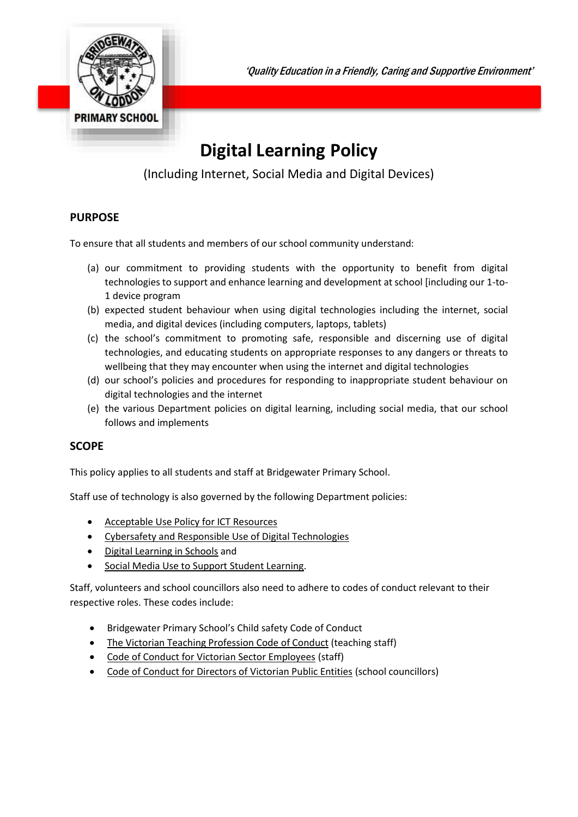

'Quality Education in a Friendly, Caring and Supportive Environment'

# **Digital Learning Policy**

(Including Internet, Social Media and Digital Devices)

## **PURPOSE**

To ensure that all students and members of our school community understand:

- (a) our commitment to providing students with the opportunity to benefit from digital technologies to support and enhance learning and development at school [including our 1-to-1 device program
- (b) expected student behaviour when using digital technologies including the internet, social media, and digital devices (including computers, laptops, tablets)
- (c) the school's commitment to promoting safe, responsible and discerning use of digital technologies, and educating students on appropriate responses to any dangers or threats to wellbeing that they may encounter when using the internet and digital technologies
- (d) our school's policies and procedures for responding to inappropriate student behaviour on digital technologies and the internet
- (e) the various Department policies on digital learning, including social media, that our school follows and implements

## **SCOPE**

This policy applies to all students and staff at Bridgewater Primary School.

Staff use of technology is also governed by the following Department policies:

- [Acceptable Use Policy for ICT Resources](https://www2.education.vic.gov.au/pal/ict-acceptable-use/overview)
- [Cybersafety and Responsible Use of Digital Technologies](https://www2.education.vic.gov.au/pal/cybersafety/policy)
- [Digital Learning in Schools](https://www2.education.vic.gov.au/pal/digital-learning/policy) and
- [Social Media Use to Support Student Learning.](https://www2.education.vic.gov.au/pal/social-media/policy)

Staff, volunteers and school councillors also need to adhere to codes of conduct relevant to their respective roles. These codes include:

- Bridgewater Primary School's Child safety Code of Conduct
- [The Victorian Teaching Profession Code of Conduct](https://www.vit.vic.edu.au/__data/assets/pdf_file/0018/35604/Code-of-Conduct-2016.pdf) (teaching staff)
- [Code of Conduct for Victorian Sector Employees](https://www2.education.vic.gov.au/pal/code-conduct/overview) (staff)
- [Code of Conduct for Directors of Victorian Public Entities](https://www2.education.vic.gov.au/pal/school-council-conduct/policy) (school councillors)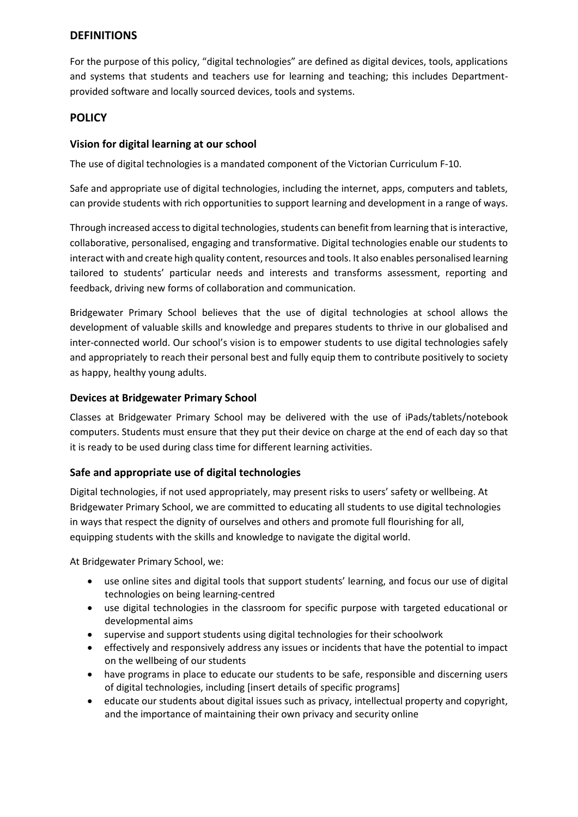## **DEFINITIONS**

For the purpose of this policy, "digital technologies" are defined as digital devices, tools, applications and systems that students and teachers use for learning and teaching; this includes Departmentprovided software and locally sourced devices, tools and systems.

#### **POLICY**

#### **Vision for digital learning at our school**

The use of digital technologies is a mandated component of the Victorian Curriculum F-10.

Safe and appropriate use of digital technologies, including the internet, apps, computers and tablets, can provide students with rich opportunities to support learning and development in a range of ways.

Through increased access to digital technologies, students can benefit from learning that is interactive, collaborative, personalised, engaging and transformative. Digital technologies enable our students to interact with and create high quality content, resources and tools. It also enables personalised learning tailored to students' particular needs and interests and transforms assessment, reporting and feedback, driving new forms of collaboration and communication.

Bridgewater Primary School believes that the use of digital technologies at school allows the development of valuable skills and knowledge and prepares students to thrive in our globalised and inter-connected world. Our school's vision is to empower students to use digital technologies safely and appropriately to reach their personal best and fully equip them to contribute positively to society as happy, healthy young adults.

#### **Devices at Bridgewater Primary School**

Classes at Bridgewater Primary School may be delivered with the use of iPads/tablets/notebook computers. Students must ensure that they put their device on charge at the end of each day so that it is ready to be used during class time for different learning activities.

#### **Safe and appropriate use of digital technologies**

Digital technologies, if not used appropriately, may present risks to users' safety or wellbeing. At Bridgewater Primary School, we are committed to educating all students to use digital technologies in ways that respect the dignity of ourselves and others and promote full flourishing for all, equipping students with the skills and knowledge to navigate the digital world.

At Bridgewater Primary School, we:

- use online sites and digital tools that support students' learning, and focus our use of digital technologies on being learning-centred
- use digital technologies in the classroom for specific purpose with targeted educational or developmental aims
- supervise and support students using digital technologies for their schoolwork
- effectively and responsively address any issues or incidents that have the potential to impact on the wellbeing of our students
- have programs in place to educate our students to be safe, responsible and discerning users of digital technologies, including [insert details of specific programs]
- educate our students about digital issues such as privacy, intellectual property and copyright, and the importance of maintaining their own privacy and security online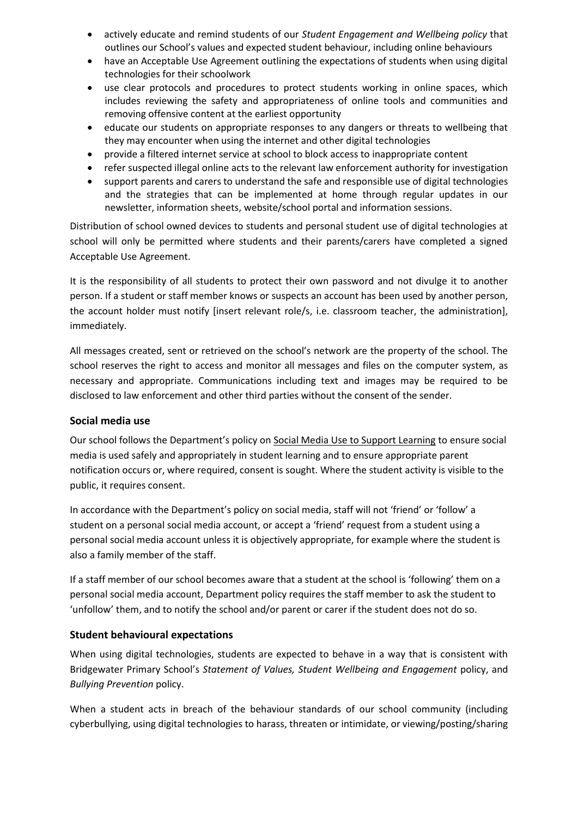- actively educate and remind students of our *Student Engagement and Wellbeing policy* that outlines our School's values and expected student behaviour, including online behaviours
- have an Acceptable Use Agreement outlining the expectations of students when using digital technologies for their schoolwork
- use clear protocols and procedures to protect students working in online spaces, which includes reviewing the safety and appropriateness of online tools and communities and removing offensive content at the earliest opportunity
- educate our students on appropriate responses to any dangers or threats to wellbeing that they may encounter when using the internet and other digital technologies
- provide a filtered internet service at school to block access to inappropriate content
- refer suspected illegal online acts to the relevant law enforcement authority for investigation
- support parents and carers to understand the safe and responsible use of digital technologies and the strategies that can be implemented at home through regular updates in our newsletter, information sheets, website/school portal and information sessions.

Distribution of school owned devices to students and personal student use of digital technologies at school will only be permitted where students and their parents/carers have completed a signed Acceptable Use Agreement.

It is the responsibility of all students to protect their own password and not divulge it to another person. If a student or staff member knows or suspects an account has been used by another person, the account holder must notify [insert relevant role/s, i.e. classroom teacher, the administration], immediately.

All messages created, sent or retrieved on the school's network are the property of the school. The school reserves the right to access and monitor all messages and files on the computer system, as necessary and appropriate. Communications including text and images may be required to be disclosed to law enforcement and other third parties without the consent of the sender.

#### **Social media use**

Our school follows the Department's policy on [Social Media Use to Support Learning](https://www2.education.vic.gov.au/pal/social-media/policy) to ensure social media is used safely and appropriately in student learning and to ensure appropriate parent notification occurs or, where required, consent is sought. Where the student activity is visible to the public, it requires consent.

In accordance with the Department's policy on social media, staff will not 'friend' or 'follow' a student on a personal social media account, or accept a 'friend' request from a student using a personal social media account unless it is objectively appropriate, for example where the student is also a family member of the staff.

If a staff member of our school becomes aware that a student at the school is 'following' them on a personal social media account, Department policy requires the staff member to ask the student to 'unfollow' them, and to notify the school and/or parent or carer if the student does not do so.

#### **Student behavioural expectations**

When using digital technologies, students are expected to behave in a way that is consistent with Bridgewater Primary School's *Statement of Values, Student Wellbeing and Engagement* policy, and *Bullying Prevention* policy.

When a student acts in breach of the behaviour standards of our school community (including cyberbullying, using digital technologies to harass, threaten or intimidate, or viewing/posting/sharing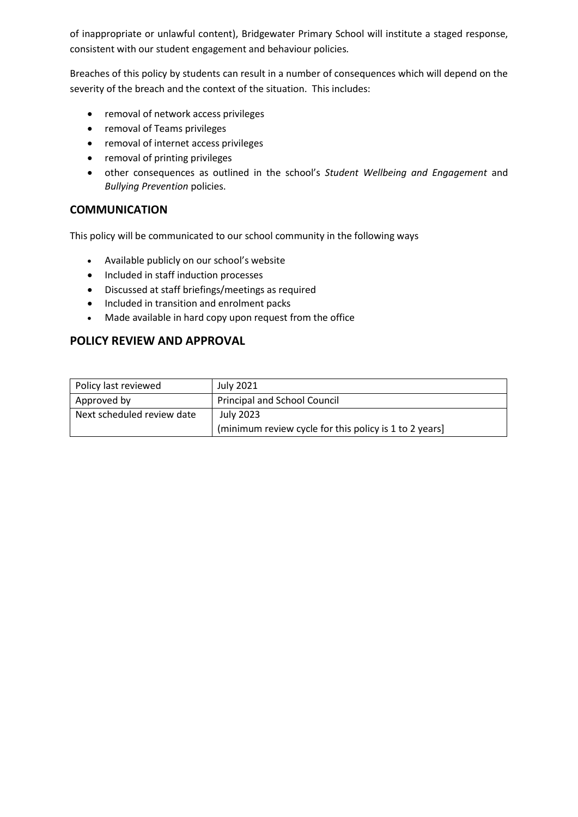of inappropriate or unlawful content), Bridgewater Primary School will institute a staged response, consistent with our student engagement and behaviour policies*.*

Breaches of this policy by students can result in a number of consequences which will depend on the severity of the breach and the context of the situation. This includes:

- removal of network access privileges
- removal of Teams privileges
- removal of internet access privileges
- removal of printing privileges
- other consequences as outlined in the school's *Student Wellbeing and Engagement* and *Bullying Prevention* policies.

### **COMMUNICATION**

This policy will be communicated to our school community in the following ways

- Available publicly on our school's website
- Included in staff induction processes
- Discussed at staff briefings/meetings as required
- Included in transition and enrolment packs
- Made available in hard copy upon request from the office

## **POLICY REVIEW AND APPROVAL**

| Policy last reviewed       | <b>July 2021</b>                                       |  |
|----------------------------|--------------------------------------------------------|--|
| Approved by                | <b>Principal and School Council</b>                    |  |
| Next scheduled review date | July 2023                                              |  |
|                            | (minimum review cycle for this policy is 1 to 2 years) |  |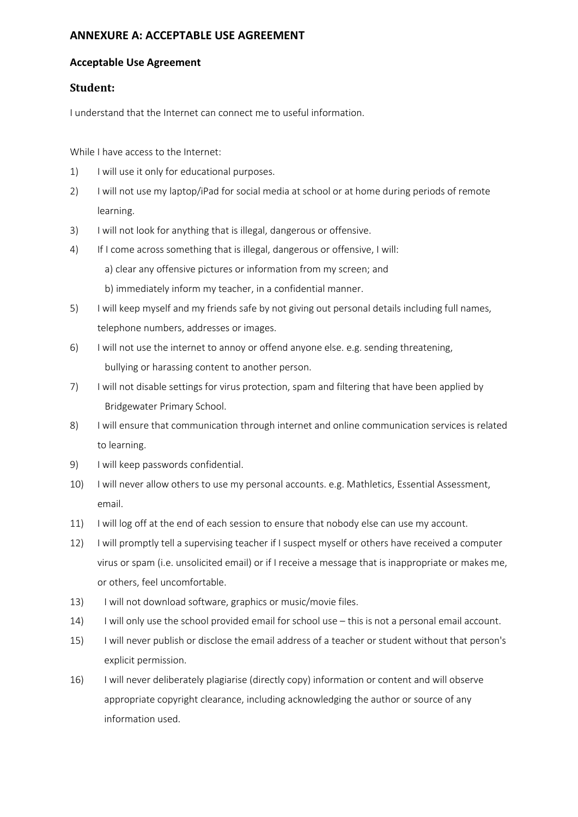## **ANNEXURE A: ACCEPTABLE USE AGREEMENT**

#### **Acceptable Use Agreement**

#### **Student:**

I understand that the Internet can connect me to useful information.

While I have access to the Internet:

- 1) I will use it only for educational purposes.
- 2) I will not use my laptop/iPad for social media at school or at home during periods of remote learning.
- 3) I will not look for anything that is illegal, dangerous or offensive.
- 4) If I come across something that is illegal, dangerous or offensive, I will:
	- a) clear any offensive pictures or information from my screen; and
	- b) immediately inform my teacher, in a confidential manner.
- 5) I will keep myself and my friends safe by not giving out personal details including full names, telephone numbers, addresses or images.
- 6) I will not use the internet to annoy or offend anyone else. e.g. sending threatening, bullying or harassing content to another person.
- 7) I will not disable settings for virus protection, spam and filtering that have been applied by Bridgewater Primary School.
- 8) I will ensure that communication through internet and online communication services is related to learning.
- 9) I will keep passwords confidential.
- 10) I will never allow others to use my personal accounts. e.g. Mathletics, Essential Assessment, email.
- 11) I will log off at the end of each session to ensure that nobody else can use my account.
- 12) I will promptly tell a supervising teacher if I suspect myself or others have received a computer virus or spam (i.e. unsolicited email) or if I receive a message that is inappropriate or makes me, or others, feel uncomfortable.
- 13) I will not download software, graphics or music/movie files.
- 14) I will only use the school provided email for school use this is not a personal email account.
- 15) I will never publish or disclose the email address of a teacher or student without that person's explicit permission.
- 16) I will never deliberately plagiarise (directly copy) information or content and will observe appropriate copyright clearance, including acknowledging the author or source of any information used.